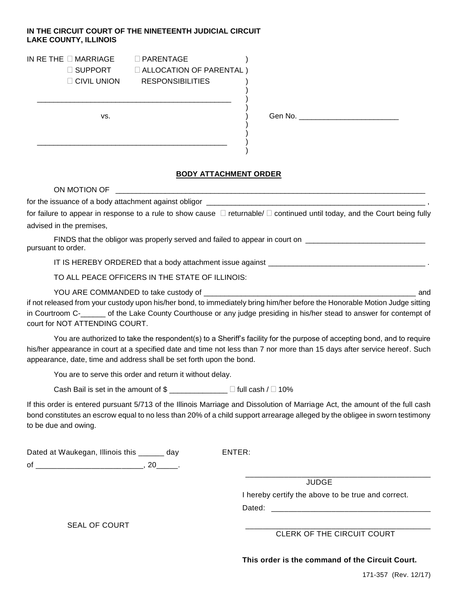## **IN THE CIRCUIT COURT OF THE NINETEENTH JUDICIAL CIRCUIT LAKE COUNTY, ILLINOIS**

| IN RE THE $\Box$ MARRIAGE. | $\Box$ PARENTAGE               |
|----------------------------|--------------------------------|
| $\Box$ SUPPORT             | $\Box$ ALLOCATION OF PARENTAL) |
| $\Box$ CIVIL UNION         | <b>RESPONSIBILITIES</b>        |

\_\_\_\_\_\_\_\_\_\_\_\_\_\_\_\_\_\_\_\_\_\_\_\_\_\_\_\_\_\_\_\_\_\_\_\_\_\_\_\_\_\_\_\_\_\_\_ )

\_\_\_\_\_\_\_\_\_\_\_\_\_\_\_\_\_\_\_\_\_\_\_\_\_\_\_\_\_\_\_\_\_\_\_\_\_\_\_\_\_\_\_\_\_\_ )

| <b>RESPONSIBILITIES</b><br>NION |
|---------------------------------|
|---------------------------------|

vs.  $\overrightarrow{)}$  Gen No.

## **BODY ATTACHMENT ORDER**

)

)

) )

)

| for failure to appear in response to a rule to show cause $\Box$ returnable/ $\Box$ continued until today, and the Court being fully                                                                                                                                                                                        |  |  |
|-----------------------------------------------------------------------------------------------------------------------------------------------------------------------------------------------------------------------------------------------------------------------------------------------------------------------------|--|--|
| advised in the premises,                                                                                                                                                                                                                                                                                                    |  |  |
| FINDS that the obligor was properly served and failed to appear in court on _______________________<br>pursuant to order.                                                                                                                                                                                                   |  |  |
|                                                                                                                                                                                                                                                                                                                             |  |  |
| TO ALL PEACE OFFICERS IN THE STATE OF ILLINOIS:                                                                                                                                                                                                                                                                             |  |  |
| if not released from your custody upon his/her bond, to immediately bring him/her before the Honorable Motion Judge sitting<br>in Courtroom C-_____ of the Lake County Courthouse or any judge presiding in his/her stead to answer for contempt of<br>court for NOT ATTENDING COURT.                                       |  |  |
| You are authorized to take the respondent(s) to a Sheriff's facility for the purpose of accepting bond, and to require<br>his/her appearance in court at a specified date and time not less than 7 nor more than 15 days after service hereof. Such<br>appearance, date, time and address shall be set forth upon the bond. |  |  |
| You are to serve this order and return it without delay.                                                                                                                                                                                                                                                                    |  |  |
| Cash Bail is set in the amount of $\text{\$}$ _____________ $\Box$ full cash / $\Box$ 10%                                                                                                                                                                                                                                   |  |  |
| If this order is entered pursuant 5/713 of the Illinois Marriage and Dissolution of Marriage Act, the amount of the full cash<br>bond constitutes an escrow equal to no less than 20% of a child support arrearage alleged by the obligee in sworn testimony<br>to be due and owing.                                        |  |  |

Dated at Waukegan, Illinois this \_\_\_\_\_\_ day ENTER:

of \_\_\_\_\_\_\_\_\_\_\_\_\_\_\_\_\_\_\_\_\_\_\_\_\_\_\_\_\_\_, 20\_\_\_\_\_\_.

\_\_\_\_\_\_\_\_\_\_\_\_\_\_\_\_\_\_\_\_\_\_\_\_\_\_\_\_\_\_\_\_\_\_\_\_\_\_\_\_\_\_\_ **JUDGE** 

I hereby certify the above to be true and correct.

Dated: \_\_\_\_\_\_\_\_\_\_\_\_\_\_\_\_\_\_\_\_\_\_\_\_\_\_\_\_\_\_\_\_\_\_\_\_\_

SEAL OF COURT

CLERK OF THE CIRCUIT COURT

**This order is the command of the Circuit Court.**